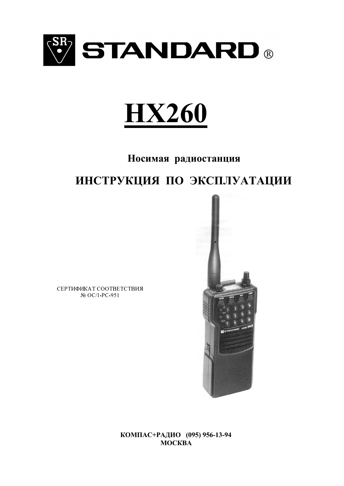



Носимая радиостанция

# ИНСТРУКЦИЯ ПО ЭКСПЛУАТАЦИИ

СЕРТИФИКАТ СООТВЕТСТВИЯ № OC/1-PC-951



КОМПАС+РАДИО (095) 956-13-94 **MOCKBA**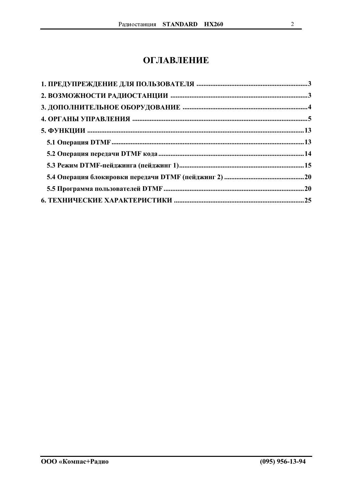# **ОГЛАВЛЕНИЕ**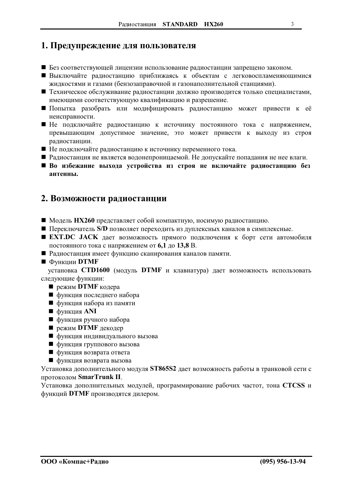# <span id="page-2-0"></span>1. Предупреждение для пользователя

- Без соответствующей лицензии использование радиостанции запрещено законом.
- Выключайте радиостанцию приближаясь к объектам с легковоспламеняющимися жидкостями и газами (бензозаправочной и газонаполнительной станциями).
- Пехническое обслуживание радиостанции должно производится только специалистами, имеющими соответствующую квалификацию и разрешение.
- Попытка разобрать или модифицировать радиостанцию может привести к её неисправности.
- Пе подключайте радиостанцию к источнику постоянного тока с напряжением, превышающим допустимое значение, это может привести к выходу из строя радиостанции.
- Не подключайте радиостанцию к источнику переменного тока.
- Радиостанция не является водонепроницаемой. Не допускайте попадания не нее влаги.
- **Во избежание выхода устройства из строя не включайте радиостанцию без** антенны.

# 2. Возможности радиостанции

- Модель HX260 представляет собой компактную, носимую радиостанцию.
- Переключатель S/D позволяет переходить из дуплексных каналов в симплексные.
- **EXT.DC JACK** дает возможность прямого подключения к борт сети автомобиля постоянного тока с напряжением от 6,1 до 13,8 В.
- Радиостанция имеет функцию сканирования каналов памяти.
- $\blacksquare$  Функции DTMF

установка СТD1600 (модуль DTMF и клавиатура) дает возможность использовать следующие функции:

- режим DTMF кодера
- функция последнего набора
- функция набора из памяти
- функция ANI
- функция ручного набора
- $\blacksquare$  режим DTMF декодер
- функция индивидуального вызова
- функция группового вызова
- функция возврата ответа
- функция возврата вызова

Установка дополнительного модуля ST865S2 дает возможность работы в транковой сети с протоколом SmarTrunk II.

Установка дополнительных модулей, программирование рабочих частот, тона CTCSS и функций DTMF производятся дилером.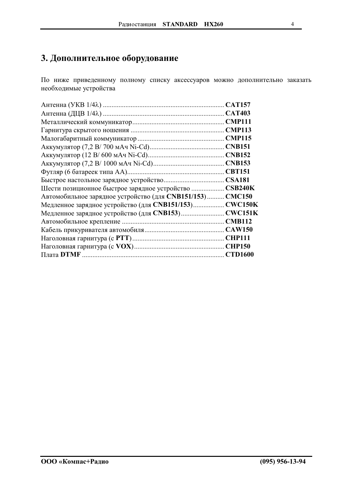# <span id="page-3-0"></span>3. Дополнительное оборудование

По ниже приведенному полному списку аксессуаров можно дополнительно заказать необходимые устройства

| Шести позиционное быстрое зарядное устройство  CSB240K    |  |
|-----------------------------------------------------------|--|
| Автомобильное зарядное устройство (для CNB151/153) CMC150 |  |
| Медленное зарядное устройство (для CNB151/153) CWC150K    |  |
| Медленное зарядное устройство (для CNB153) CWC151K        |  |
|                                                           |  |
|                                                           |  |
|                                                           |  |
|                                                           |  |
|                                                           |  |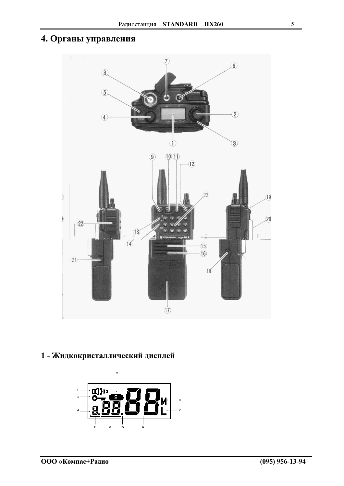# <span id="page-4-0"></span>4. Органы управления



# 1 - Жидкокристаллический дисплей

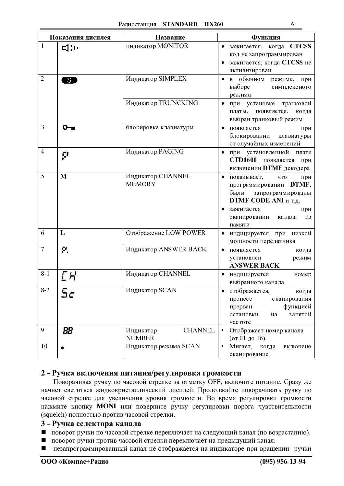|                | Показания дисплея | Название                                     | Функция                                                                                                                                                                                     |
|----------------|-------------------|----------------------------------------------|---------------------------------------------------------------------------------------------------------------------------------------------------------------------------------------------|
| 1              | ⊲)) (             | индикатор MONITOR                            | зажигается, когда CTCSS<br>код не запрограммирован<br>зажигается, когда CTCSS не<br>активизирован                                                                                           |
| $\overline{2}$ | $\overline{S}$    | Индикатор SIMPLEX                            | обычном<br>режиме, при<br>$\mathbf{B}$<br>выборе<br>симплексного<br>режима                                                                                                                  |
|                |                   | Индикатор TRUNCKING                          | транковой<br>при установке<br>платы,<br>появляется,<br>когда<br>выбран транковый режим                                                                                                      |
| 3              | ⊶                 | блокировка клавиатуры                        | появляется<br>при<br>блокировании<br>клавиатуры<br>от случайных изменений                                                                                                                   |
| $\overline{4}$ | ŗ,                | Индикатор PAGING                             | при установленной<br>плате<br><b>CTD1600</b> появляется<br>при<br>включении DTMF декодера                                                                                                   |
| 5              | M                 | Индикатор CHANNEL<br><b>MEMORY</b>           | показывает,<br>что<br>$\bullet$<br>при<br>DTMF,<br>программировании<br>были запрограммированы<br><b>DTMF CODE ANI и т.д.</b><br>зажигается<br>при<br>сканировании<br>канала<br>ИЗ<br>памяти |
| 6              | L                 | Отображение LOW POWER                        | $\bullet$<br>индицируется при<br>низкой<br>мощности передатчика                                                                                                                             |
| $\overline{7}$ | П.                | Индикатор ANSWER BACK                        | появляется<br>когда<br>$\bullet$<br>установлен<br>режим<br><b>ANSWER BACK</b>                                                                                                               |
| $8 - 1$        | CH                | Индикатор CHANNEL                            | индицируется<br>номер<br>выбранного канала                                                                                                                                                  |
| $8 - 2$        | bc                | Индикатор SCAN                               | отображается,<br>когда<br>процесс<br>сканирования<br>функцией<br>прерван<br>занятой<br>остановки<br>на<br>частоте                                                                           |
| 9              | 88                | <b>CHANNEL</b><br>Индикатор<br><b>NUMBER</b> | Отображает номер канала<br>٠<br>(от 01 до 16).                                                                                                                                              |
| 10             |                   | Индикатор режима SCAN                        | Мигает,<br>когда<br>включено<br>сканирование                                                                                                                                                |

# 2 - Ручка включения питания/регулировка громкости

Поворачивая ручку по часовой стрелке за отметку ОFF, включите питание. Сразу же начнет светиться жидкокристаллический дисплей. Продолжайте поворачивать ручку по часовой стрелке для увеличения уровня громкости. Во время регулировки громкости нажмите кнопку MONI или поверните ручку регулировки порога чувствительности (squelch) полностью против часовой стрелки.

#### 3 - Ручка селектора канала

- поворот ручки по часовой стрелке переключает на следующий канал (по возрастанию).
- поворот ручки против часовой стрелки переключает на предыдущий канал.  $\blacksquare$
- незапрограммированный канал не отображается на индикаторе при вращении ручки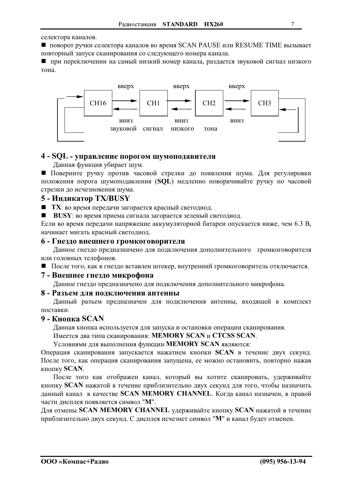селектора каналов.

• поворот ручки селектора каналов во время SCAN PAUSE или RESUME TIME вызывает повторный запуск сканирования со следующего номера канала.

П при переключении на самый низкий номер канала, раздается звуковой сигнал низкого тона.



# 4 - SQL - управление порогом шумоподавителя

Данная функция убирает шум.

Поверните ручку против часовой стрелки до появления шума. Для регулировки положения порога шумоподавления (SQL) медленно поворачивайте ручку по часовой стрелки до исчезновения шума.

# 5 - Индикатор TX/BUSY

■ ТХ: во время передачи загорается красный светодиод.

**• BUSY**: во время приема сигнала загорается зеленый светодиод.

Если во время передачи напряжение аккумуляторной батареи опускается ниже, чем 6.3 В, начинает мигать красный светодиод.

## 6 - Гнездо внешнего громкоговорителя

Данное гнездо предназначено для подключения дополнительного громкоговорителя или головных телефонов.

После того, как в гнездо вставлен штекер, внутренний громкоговоритель отключается.

# 7 - Внешнее гнездо микрофона

Данное гнездо предназначено для подключения дополнительного микрофона.

# 8 - Разъем для подключения антенны

Данный разъем предназначен для подключения антенны, входящей в комплект поставки

# 9 - Кнопка SCAN

Данная кнопка используется для запуска и остановки операции сканирования.

Имеется два типа сканирования: MEMORY SCAN и CTCSS SCAN.

Условиями для выполнения функции MEMORY SCAN являются:

Операция сканирования запускается нажатием кнопки SCAN в течение двух секунд. После того, как операция сканирования запущена, ее можно остановить, повторно нажав кнопку SCAN.

После того как отображен канал, который вы хотите сканировать, удерживайте кнопку SCAN нажатой в течение приблизительно двух секунд для того, чтобы назначить данный канал в качестве SCAN MEMORY CHANNEL. Когда канал назначен, в правой части лисплея появляется символ "М".

Для отмены SCAN MEMORY CHANNEL удерживайте кнопку SCAN нажатой в течение приблизительно двух секунд. С дисплея исчезнет символ "М" и канал будет отменен.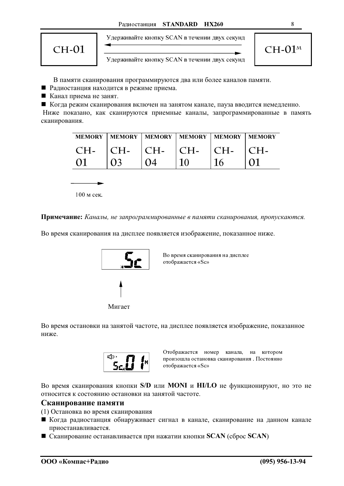

Удерживайте кнопку SCAN в течении двух секунд

8

Удерживайте кнопку SCAN в течении двух секунд

В памяти сканирования программируются два или более каналов памяти.

■ Радиостанция находится в режиме приема.

■ Канал приема не занят.

• Когда режим сканирования включен на занятом канале, пауза вводится немедленно.

Ниже показано, как сканируются приемные каналы, запрограммированные в память сканирования.

| <b>MEMORY</b> |       |                   | MEMORY   MEMORY   MEMORY   MEMORY   MEMORY |        |  |
|---------------|-------|-------------------|--------------------------------------------|--------|--|
| $CH-$         | $CH-$ | $\overline{C}$ H- | $\mathsf{C}$ H-                            | $ CH-$ |  |
|               |       |                   |                                            |        |  |

 $100 <sub>M</sub>$  сек

Примечание: Каналы, не запрограммированные в памяти сканирования, пропускаются.

Во время сканирования на дисплее появляется изображение, показанное ниже.



Во время сканирования на дисплее отображается «Sc»

Мигает

Во время остановки на занятой частоте, на дисплее появляется изображение, показанное ниже.



Отображается номер канала, на котором произошла остановка сканирования. Постоянно отображается «Sc»

Во время сканирования кнопки S/D или MONI и HI/LO не функционируют, но это не относится к состоянию остановки на занятой частоте.

#### Сканирование памяти

(1) Остановка во время сканирования

- Когда радиостанция обнаруживает сигнал в канале, сканирование на данном канале приостанавливается.
- $\blacksquare$  Сканирование останавливается при нажатии кнопки SCAN (сброс SCAN)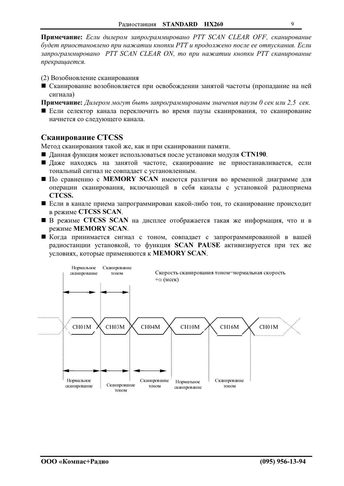Примечание: Если дилером запрограммировано PTT SCAN CLEAR OFF, сканирование будет приостановлено при нажатии кнопки РТТ и продолжено после ее отпускания. Если запрограммировано PTT SCAN CLEAR ON, то при нажатии кнопки PTT сканирование прекращается.

- (2) Возобновление сканирования
- Сканирование возобновляется при освобождении занятой частоты (пропалание на ней сигнала)
- Примечание: Дилером могут быть запрограммированы значения паузы 0 сек или 2,5 сек.
- Если селектор канала переключить во время паузы сканирования, то сканирование начнется со следующего канала.

# Сканирование CTCSS

Метод сканирования такой же, как и при сканировании памяти.

- Данная функция может использоваться после установки модуля CTN190.
- Даже находясь на занятой частоте, сканирование не приостанавливается, если тональный сигнал не совпадает с установленным.
- $\blacksquare$  По сравнению с MEMORY SCAN имеются различия во временной диаграмме для операции сканирования, включающей в себя каналы с установкой радиоприема CTCSS.
- Если в канале приема запрограммирован какой-либо тон, то сканирование происходит в режиме CTCSS SCAN.
- В режиме CTCSS SCAN на дисплее отображается такая же информация, что и в режиме MEMORY SCAN.
- Когда принимается сигнал с тоном, совпадает с запрограммированной в вашей радиостанции установкой, то функция SCAN PAUSE активизируется при тех же условиях, которые применяются к MEMORY SCAN.

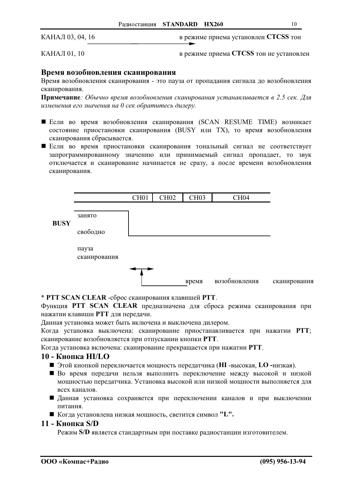КАНАЛ 03, 04, 16

в режиме приема установлен CTCSS тон

КАНАЛ 01, 10

в режиме приема CTCSS тон не установлен

#### Время возобновления сканирования

Время возобновления сканирования - это пауза от пропадания сигнала до возобновления сканирования.

Примечание: Обычно время возобновления сканирования устанавливается в 2.5 сек. Для изменения его значения на 0 сек обратитесь дилеру.

- Если во время возобновления сканирования (SCAN RESUME TIME) возникает состояние приостановки сканирования (BUSY или TX), то время возобновления сканирования сбрасывается.
- Если во время приостановки сканирования тональный сигнал не соответствует запрограммированному значению или принимаемый сигнал пропадает, то звук отключается и сканирование начинается не сразу, а после времени возобновления сканирования.



\* PTT SCAN CLEAR - сброс сканирования клавишей PTT.

Функция PTT SCAN CLEAR предназначена для сброса режима сканирования при нажатии клавиши РТТ для передачи.

Данная установка может быть включена и выключена дилером.

Когда установка выключена: сканирование приостанавливается при нажатии РТТ; сканирование возобновляется при отпускании кнопки РТТ.

Когда установка включена: сканирование прекращается при нажатии РТТ.

# 10 - Кнопка НІ/LO

- Этой кнопкой переключается мощность передатчика (HI -высокая, LO -низкая).
- Во время передачи нельзя выполнить переключение между высокой и низкой мощностью передатчика. Установка высокой или низкой мощности выполняется для всех каналов.
- Данная установка сохраняется при переключении каналов и при выключении питания.
- Когда установлена низкая мощность, светится символ "L".

#### 11 - Кнопка S/D

Режим S/D является стандартным при поставке радиостанции изготовителем.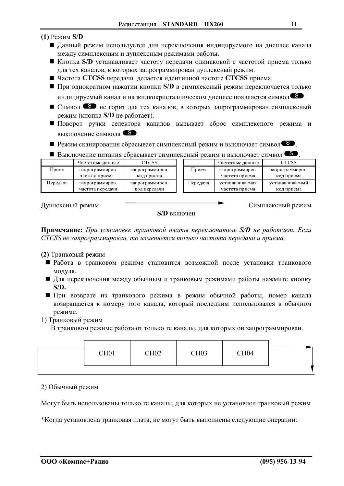- $(1)$  Режим S/D
	- Данный режим используется для переключения индицируемого на дисплее канала между симплексным и дуплексным режимами работы.
	- Кнопка S/D устанавливает частоту передачи одинаковой с частотой приема только для тех каналов, в которых запрограммирован дуплексный режим.
	- Частота CTCSS передачи делается идентичной частоте CTCSS приема.
	- $\blacksquare$  При однократном нажатии кнопки S/D в симплексный режим переключается только индицируемый канал и на жидкокристаллическом дисплее появляется символ<sup>65</sup>.
	- Символ не горит для тех каналов, в которых запрограммирован симплексный режим (кнопка S/D не работает).
	- Поворот ручки селектора каналов вызывает сброс симплексного режима и выключение символа S.
	- Режим сканирования сбрасывает симплексный режим и выключает символ<sup>65</sup>.
	- Выключение питания сбрасывает симплексный режим и выключает символ

|          | Частотные данные | CTCSS           |          | Частотные данные | CTCSS           |
|----------|------------------|-----------------|----------|------------------|-----------------|
| Прием    | запрограммиров.  | запрограммиров. | Прием    | запрограммиров.  | запрограммиров. |
|          | частота приема   | код приема      |          | частота приема   | код приема      |
| Передача | запрограммиров.  | запрограммиров. | Передача | устанавливаемая  | устанавливаемый |
|          | частота передачи | код передачи    |          | частота приема   | код приема      |

Дуплексный режим

S/D включен

Симплексный режим

Примечание: При установке транковой платы переключатель S/D не работает. Если CTCSS не запрограммирован, то изменяется только частота передачи и приема.

(2) Транковый режим

- Работа в транковом режиме становится возможной после установки транкового модуля.
- Для переключения между обычным и транковым режимами работы нажмите кнопку  $S/D.$
- При возврате из транкового режима в режим обычной работы, номер канала возвращается к номеру того канала, который последним использовался в обычном режиме.

1) Транковый режим

В транковом режиме работают только те каналы, для которых он запрограммирован.

|  |  | CH <sub>01</sub> | <b>CH02</b> | <b>CH03</b> | CH <sub>04</sub> |  |
|--|--|------------------|-------------|-------------|------------------|--|
|--|--|------------------|-------------|-------------|------------------|--|

# 2) Обычный режим

Могут быть использованы только те каналы, для которых не установлен транковый режим

\*Когда установлена транковая плата, не могут быть выполнены следующие операции: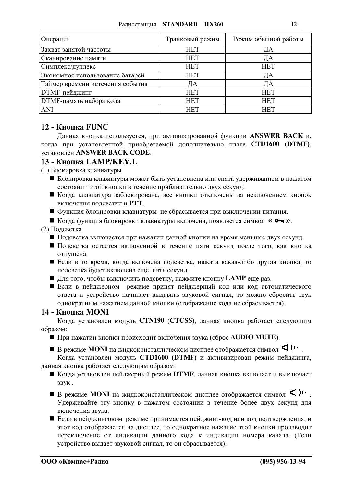| Операция                         | Транковый режим | Режим обычной работы |
|----------------------------------|-----------------|----------------------|
| Захват занятой частоты           | <b>HET</b>      | ДА                   |
| Сканирование памяти              | <b>HET</b>      | ДА                   |
| Симплекс/дуплекс                 | <b>HET</b>      | <b>HET</b>           |
| Экономное использование батарей  | <b>HET</b>      | ДА                   |
| Таймер времени истечения события | ДА              | ДА                   |
| <b>DTMF-пейджинг</b>             | <b>HET</b>      | <b>HET</b>           |
| <b>DTMF-память набора кода</b>   | <b>HET</b>      | <b>HET</b>           |
| <b>ANI</b>                       | <b>HET</b>      | <b>HET</b>           |

# 12 - Кнопка FUNC

Данная кнопка используется, при активизированной функции ANSWER BACK и, когда при установленной приобретаемой дополнительно плате CTD1600 (DTMF), установлен ANSWER BACK CODE.

# 13 - Кнопка LAMP/KEY.L

(1) Блокировка клавиатуры

- Блокировка клавиатуры может быть установлена или снята удерживанием в нажатом состоянии этой кнопки в течение приблизительно двух секунд.
- Когда клавиатура заблокирована, все кнопки отключены за исключением кнопок включения подсветки и РТТ.
- Функция блокировки клавиатуры не сбрасывается при выключении питания.
- Когда функция блокировки клавиатуры включена, появляется символ « О ».

(2) Подсветка

- Подсветка включается при нажатии данной кнопки на время меньшее двух секунд.
- Подсветка остается включенной в течение пяти секунд после того, как кнопка отпущена.
- Если в то время, когда включена подсветка, нажата какая-либо другая кнопка, то подсветка будет включена еще пять секунд.
- Для того, чтобы выключить подсветку, нажмите кнопку LAMP еще раз.
- Если в пейджерном режиме принят пейджерный код или код автоматического ответа и устройство начинает выдавать звуковой сигнал, то можно сбросить звук однократным нажатием данной кнопки (отображение кода не сбрасывается).

#### 14 - Кнопка MONI

Когда установлен модуль CTN190 (CTCSS), данная кнопка работает следующим образом:

При нажатии кнопки происходит включения звука (сброс AUDIO MUTE).

■ В режиме MONI на жидкокристаллическом дисплее отображается символ <

Когда установлен модуль СТD1600 (DTMF) и активизирован режим пейджинга, данная кнопка работает следующим образом:

- Когда установлен пейджерный режим DTMF, данная кнопка включает и выключает звук.
- В режиме MONI на жидкокристаллическом дисплее отображается символ < Удерживайте эту кнопку в нажатом состоянии в течение более двух секунд для включения звука.
- Если в пейджинговом режиме принимается пейджинг-код или код подтверждения, и этот код отображается на дисплее, то однократное нажатие этой кнопки производит переключение от индикации данного кода к индикации номера канала. (Если устройство выдает звуковой сигнал, то он сбрасывается).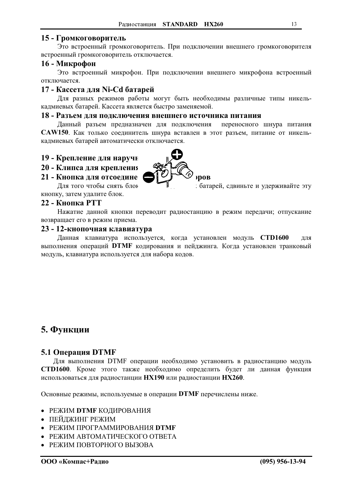# <span id="page-12-0"></span>15 - Громкоговоритель

Это встроенный громкоговоритель. При подключении внешнего громкоговорителя встроенный громкоговоритель отключается.

# 16 - Микрофон

Это встроенный микрофон. При подключении внешнего микрофона встроенный отключается.

# 17 - Кассета для Ni-Cd батарей

Для разных режимов работы могут быть необходимы различные типы никелькадмиевых батарей. Кассета является быстро заменяемой.

#### 18 - Разъем для подключения внешнего источника питания

Данный разъем предназначен для подключения переносного шнура питания CAW150. Как только соединитель шнура вставлен в этот разъем, питание от никелькадмиевых батарей автоматически отключается.

#### 19 - Крепление для наручн

#### 20 - Клипса для крепления

# 21 - Кнопка для отсоедине

Для того чтобы снять блок кнопку, затем удалите блок.

### 22 - Кнопка РТТ

Нажатие данной кнопки переводит радиостанцию в режим передачи; отпускание возвращает его в режим приема.

#### 23 - 12-кнопочная клавиатура

Данная клавиатура используется, когда установлен модуль СТD1600 для выполнения операций DTMF кодирования и пейджинга. Когда установлен транковый модуль, клавиатура используется для набора кодов.

# 5. Функции

#### 5.1 Операция DTMF

Для выполнения DTMF операции необходимо установить в радиостанцию модуль СТD1600. Кроме этого также необходимо определить будет ли данная функция использоваться для радиостанции HX190 или радиостанции HX260.

Основные режимы, используемые в операции DTMF перечислены ниже.

- РЕЖИМ DTMF КОДИРОВАНИЯ
- ПЕЙДЖИНГ РЕЖИМ
- РЕЖИМ ПРОГРАММИРОВАНИЯ DTMF
- РЕЖИМ АВТОМАТИЧЕСКОГО ОТВЕТА
- РЕЖИМ ПОВТОРНОГО ВЫЗОВА



батарей, сдвиньте и удерживайте эту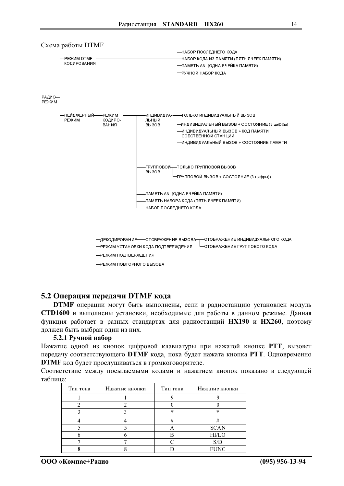

#### <span id="page-13-0"></span>Схема работы DTMF

#### 5.2 Операция передачи DTMF кода

**DTMF** операции могут быть выполнены, если в радиостанцию установлен модуль СТD1600 и выполнены установки, необходимые для работы в данном режиме. Данная функция работает в разных стандартах для радиостанций НХ190 и НХ260, поэтому должен быть выбран один из них.

#### 5.2.1 Ручной набор

Нажатие одной из кнопок цифровой клавиатуры при нажатой кнопке PTT, вызовет передачу соответствующего DTMF кода, пока будет нажата кнопка PTT. Одновременно **DTMF** код будет прослушиваться в громкоговорителе.

Соответствие между посылаемыми колами и нажатием кнопок показано в следующей таблине:

| Тип тона | Нажатие кнопки | Тип тона | Нажатие кнопки |
|----------|----------------|----------|----------------|
|          |                |          |                |
|          |                |          |                |
|          |                | $\ast$   | يلا            |
|          |                |          |                |
|          |                |          | <b>SCAN</b>    |
|          |                |          | HI/LO          |
|          |                |          |                |
|          |                |          | FUNC           |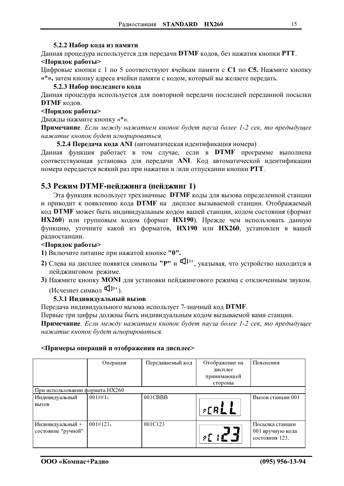#### 5.2.2 Набор кода из памяти

<span id="page-14-0"></span>Данная процедура используется для передачи DTMF кодов, без нажатия кнопки PTT. <Порядок работы>

Цифровые кнопки с 1 по 5 соответствуют ячейкам памяти с С1 по С5. Нажмите кнопку «\*», затем кнопку адреса ячейки памяти с кодом, который вы желаете передать.

#### 5.2.3 Набор последнего кода

Данная процедура используется для повторной передачи последней переданной посылки **DTMF** кодов.

#### <Порядок работы>

Дважды нажмите кнопку «\*».

Примечание. Если между нажатием кнопок будет пауза более 1-2 сек, то предыдущее нажатие кнопок будет игнорироваться.

5.2.4 Передача кода ANI (автоматическая идентификация номера)

Данная функция работает в том случае, если в **DTMF** программе выполнена соответствующая установка для передачи ANI. Код автоматической идентификации номера передается всякий раз при нажатии и /или отпускании кнопки РТТ.

# 5.3 Режим DTMF-пейлжинга (пейлжинг 1)

Эта функция использует трехзначные DTMF коды для вызова определенной станции и приводит к появлению кода DTMF на дисплее вызываемой станции. Отображаемый код DTMF может быть индивидуальным кодом вашей станции, кодом состояния (формат НХ260) или групповым кодом (формат НХ190). Прежде чем использовать данную функцию, уточните какой из форматов, HX190 или HX260, установлен в вашей радиостанции.

#### <Порядок работы>

1) Включите питание при нажатой кнопке "0".

- 2) Слева на дисплее появятся символы "P" и  $\Pi$ ), указывая, что устройство находится в пейджинговом режиме.
- 3) Нажмите кнопку MONI для установки пейджингового режима с отключенным звуком. (Исчезнет символ Ч),

#### 5.3.1 Индивидуальный вызов

Передача индивидуального вызова использует 7-значный код DTMF.

Первые три цифры должны быть индивидуальным кодом вызываемой вами станции.

Примечание. Если между нажатием кнопок будет пауза более 1-2 сек, то предыдущее нажатие кнопок будет игнорироваться.

#### <Примеры операций и отображения на дисплее>

|                                 | Операция   | Передаваемый код | Отображение на<br>дисплее | Пояснения                          |
|---------------------------------|------------|------------------|---------------------------|------------------------------------|
|                                 |            |                  | принимающей<br>стороны    |                                    |
| При использовании формата НХ260 |            |                  |                           |                                    |
| Индивидуальный                  | $001##1*$  | 001CBBB          |                           | Вызов станции 001                  |
| <b>ВЫЗОВ</b>                    |            |                  | <b>PERLL</b>              |                                    |
| Индивидуальный +                | $001#123*$ | 001C123          |                           | Посылка станции                    |
| состояние "ручной"              |            |                  |                           | 001 вручную кода<br>состояния 123. |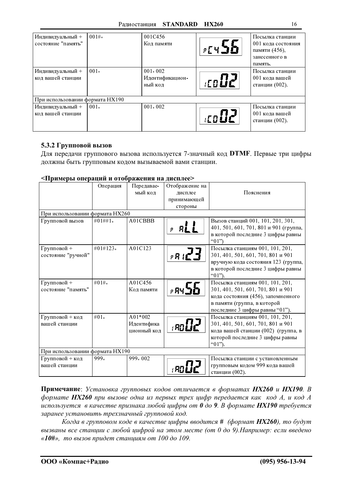| Индивидуальный +                | 001#   | 001C456         |            | Посылка станции    |
|---------------------------------|--------|-----------------|------------|--------------------|
| состояние "память"              |        | Код памяти      |            | 001 кода состояния |
|                                 |        |                 | $pE$ $Y$ . | памяти (456),      |
|                                 |        |                 |            | занесенного в      |
|                                 |        |                 |            | память.            |
| Индивидуальный +                | $001*$ | $001 * 002$     |            | Посылка станции    |
| код вашей станции               |        | Идентификацион- | anile.     | 001 кода вашей     |
|                                 |        | ный код         |            | станции (002).     |
|                                 |        |                 |            |                    |
| При использовании формата НХ190 |        |                 |            |                    |
| Индивидуальный +                | $001*$ | $001 * 002$     |            | Посылка станции    |
| код вашей станции               |        |                 |            | 001 кода вашей     |
|                                 |        |                 |            | станции (002).     |
|                                 |        |                 |            |                    |

#### 5.3.2 Групповой вызов

Для передачи группового вызова используется 7-значный код **DTMF**. Первые три цифры лолжны быть групповым колом вызываемой вами станции.

#### $\le$ Примеры операций и отображения на дисплее $\ge$

|                                 | Операция                        | Передавае-  | Отображение на                  |                                              |  |  |
|---------------------------------|---------------------------------|-------------|---------------------------------|----------------------------------------------|--|--|
|                                 |                                 | мый код     | лисплее                         | Пояснения                                    |  |  |
|                                 |                                 |             | принимающей                     |                                              |  |  |
|                                 |                                 |             | стороны                         |                                              |  |  |
| При использовании формата НХ260 |                                 |             |                                 |                                              |  |  |
| Групповой вызов                 | $#01##1*$                       | A01CBBB     |                                 | Вызов станций 001, 101, 201, 301,            |  |  |
|                                 |                                 |             | p                               | 401, 501, 601, 701, 801 и 901 (группа,       |  |  |
|                                 |                                 |             |                                 | в которой последние 3 цифры равны<br>" $01"$ |  |  |
| Групповой +                     | $#01#123*$                      | A01C123     |                                 | Посылка станциям 001, 101, 201,              |  |  |
| состояние "ручной"              |                                 |             | $P$ $R$ $R^{\bullet}$ $\hat{R}$ | 301, 401, 501, 601, 701, 801 и 901           |  |  |
|                                 |                                 |             |                                 | вручную кода состояния 123 (группа,          |  |  |
|                                 |                                 |             |                                 | в которой последние 3 цифры равны            |  |  |
|                                 |                                 |             |                                 | " $01$ ").                                   |  |  |
| Групповой +                     | #01# $*$                        | A01C456     |                                 | Посылка станциям 001, 101, 201,              |  |  |
| состояние "память"              |                                 | Код памяти  | , 84 J.A                        | 301, 401, 501, 601, 701, 801 и 901           |  |  |
|                                 |                                 |             |                                 | кода состояния (456), запомненного           |  |  |
|                                 |                                 |             |                                 | в памяти (группа, в которой                  |  |  |
|                                 |                                 |             |                                 | последние 3 цифры равны "01").               |  |  |
| Групповой + код                 | $#01*$                          | A01*002     |                                 | Посылка станциям 001, 101, 201,              |  |  |
| вашей станции                   |                                 | Идентифика  | : 901                           | 301, 401, 501, 601, 701, 801 и 901           |  |  |
|                                 |                                 | ционный кол |                                 | кода вашей станции (002) (группа, в          |  |  |
|                                 |                                 |             |                                 | которой последние 3 цифры равны              |  |  |
|                                 |                                 |             |                                 | " $01"$ )                                    |  |  |
|                                 | При использовании формата НХ190 |             |                                 |                                              |  |  |
| Групповой + код                 | 999.                            | 999*002     |                                 | Посылка станции с установленным              |  |  |
| вашей станции                   |                                 |             |                                 | групповым кодом 999 кода вашей               |  |  |
|                                 |                                 |             |                                 | станции (002).                               |  |  |

**Примечание**: Установка групповых кодов отличается в форматах НХ260 и НХ190. В  $\phi$ ормате НХ260 при вызове одна из первых трех цифр передается как код А, и код А лиспользуется в качестве признака любой цифры от 0 до 9. В формате НХ190 требуется заранее установить трехзначный групповой код.

.<br>Когда в групповом коде в качестве цифры вводится # (формат HX260), то будут вызваны все станции с любой цифрой на этом месте (от 0 до 9).Например: если введено «10#», то вызов придет станциям от 100 до 109.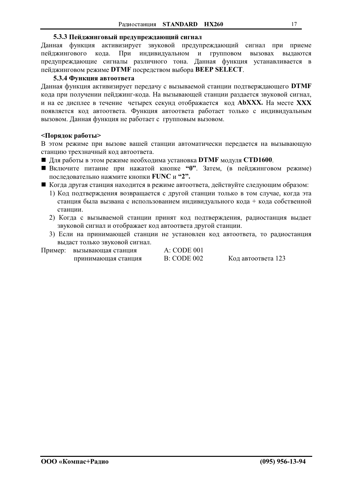#### 5.3.3 Пейджинговый предупреждающий сигнал

Данная функция активизирует звуковой предупреждающий сигнал при приеме При индивидуальном и пейджингового кода. групповом вызовах выдаются предупреждающие сигналы различного тона. Данная функция устанавливается в пейджинговом режиме DTMF посредством выбора BEEP SELECT.

#### 5.3.4 Функция автоответа

Данная функция активизирует передачу с вызываемой станции подтверждающего DTMF кода при получении пейджинг-кода. На вызывающей станции раздается звуковой сигнал, и на ее дисплее в течение четырех секунд отображается код **AbXXX**. На месте XXX появляется код автоответа. Функция автоответа работает только с индивидуальным вызовом. Данная функция не работает с групповым вызовом.

#### <Порядок работы>

В этом режиме при вызове вашей станции автоматически передается на вызывающую станцию трехзначный код автоответа.

- $\blacksquare$  Для работы в этом режиме необходима установка DTMF модуля CTD1600.
- Включите питание при нажатой кнопке "0". Затем, (в пейджинговом режиме) последовательно нажмите кнопки FUNC и "2".
- Когда другая станция находится в режиме автоответа, действуйте следующим образом:
	- 1) Код подтверждения возвращается с другой станции только в том случае, когда эта станция была вызвана с использованием индивидуального кода + кода собственной станнии.
	- 2) Когда с вызываемой станции принят код подтверждения, радиостанция выдает звуковой сигнал и отображает код автоответа другой станции.
	- 3) Если на принимающей станции не установлен код автоответа, то радиостанция выдаст только звуковой сигнал.

| Пример: | вызывающая станция  | A: CODE 001        |                    |
|---------|---------------------|--------------------|--------------------|
|         | принимающая станция | <b>B: CODE 002</b> | Код автоответа 123 |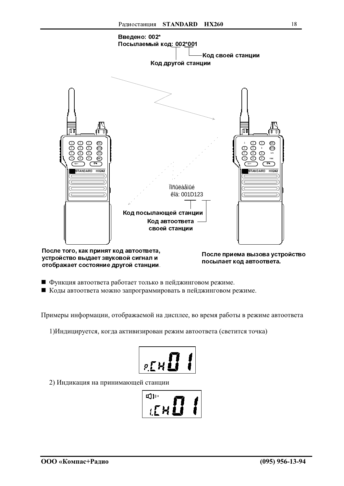

После того, как принят код автоответа, устройство выдает звуковой сигнал и отображает состояние другой станции.

После приема вызова устройство посылает код автоответа.

- Функция автоответа работает только в пейджинговом режиме.
- Коды автоответа можно запрограммировать в пейджинговом режиме.

Примеры информации, отображаемой на дисплее, во время работы в режиме автоответа

1) Индицируется, когда активизирован режим автоответа (светится точка)

$$
F_{R28}
$$

2) Индикация на принимающей станции

$$
\left| \frac{1}{\mathbb{E}^n} \right| \leq \frac{1}{n}
$$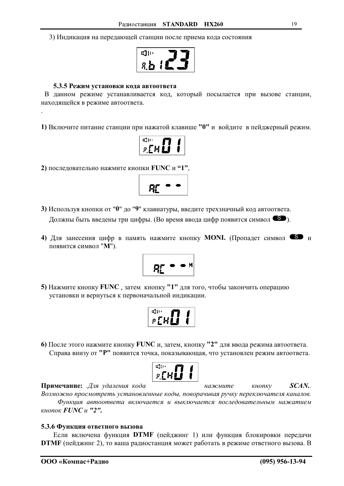3) Индикация на передающей станции после приема кода состояния

$$
\boxed{\mathbf{E}_{\mathbf{2},\mathbf{d},\mathbf{e}}^{\text{opt}}}
$$

#### 5.3.5 Режим установки кода автоответа

В данном режиме устанавливается код, который посылается при вызове станции, находящейся в режиме автоответа.

1) Включите питание станции при нажатой клавише "0" и войдите в пейджерный режим.

$$
\prod_{\mathcal{B}\in\mathcal{B}}\mathbb{E}_{\mathcal{B}}\left[\mathbb{E}_{\mathcal{B}}\right]
$$

2) последовательно нажмите кнопки FUNC и "1".

$$
\frac{R}{\sqrt{R}}
$$

- 3) Используя кнопки от "0" до "9" клавиатуры, введите трехзначный код автоответа. Должны быть введены три цифры. (Во время ввода цифр появится символ  $\bullet$ ).
- 4) Для занесения цифр в память нажмите кнопку MONI. (Пропадет символ В и появится символ "М").

$$
R_{\rm L}^{\rm max}
$$

5) Нажмите кнопку FUNC, затем кнопку "1" для того, чтобы закончить операцию установки и вернуться к первоначальной индикации.

$$
\boxed{\frac{\phi_{\text{p}}}{\phi_{\text{r}}^{\text{c}}\mathcal{H}}}
$$

6) После этого нажмите кнопку FUNC и, затем, кнопку "2" для ввода режима автоответа. Справа внизу от "Р" появится точка, показывающая, что установлен режим автоответа.

$$
\left\lceil \frac{1}{\sqrt{2\pi}}\right\rceil
$$

Примечание: Для удаления кода нажмите кнопку  $SCAN$ . Возможно просмотреть установленные коды, поворачивая ручку переключателя каналов. Функция автоответа включается и выключается последовательным нажатием кнопок **FUNC**  $u$  "2".

#### 5.3.6 Функция ответного вызова

Если включена функция DTMF (пейджинг 1) или функция блокировки передачи **DTMF** (пейджинг 2), то ваша радиостанция может работать в режиме ответного вызова. В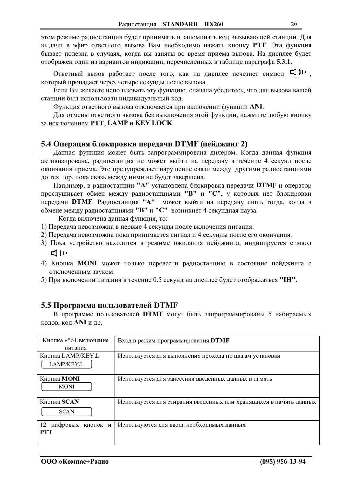<span id="page-19-0"></span>этом режиме радиостанция будет принимать и запоминать код вызывающей станции. Для выдачи в эфир ответного вызова Вам необходимо нажать кнопку РТТ. Эта функция бывает полезна в случаях, когда вы заняты во время приема вызова. На дисплее будет отображен один из вариантов индикации, перечисленных в таблице параграфа 5.3.1.

Ответный вызов работает после того, как на дисплее исчезнет символ < который пропадает через четыре секунды после вызова.

Если Вы желаете использовать эту функцию, сначала убедитесь, что для вызова вашей станции был использован индивидуальный код.

Функция ответного вызова отключается при включении функции ANI.

Для отмены ответного вызова без выключения этой функции, нажмите любую кнопку за исключением РТТ, LAMP и КЕУ LOCK.

#### 5.4 Операция блокировки передачи DTMF (пейджинг 2)

Данная функция может быть запрограммирована дилером. Когда данная функция активизирована, радиостанция не может выйти на передачу в течение 4 секунд после окончания приема. Это предупреждает нарушение связи между другими радиостанциями до тех пор, пока связь между ними не будет завершена.

Например, в радиостанции "А" установлена блокировка передачи DTMF и оператор прослушивает обмен между радиостанциями "В" и "С", у которых нет блокировки передачи DTMF. Радиостанция "А" может выйти на передачу лишь тогда, когда в обмене между радиостанциями "В" и "С" возникнет 4 секундная пауза.

Когда включена данная функция, то:

- 1) Передача невозможна в первые 4 секунды после включения питания.
- 2) Передача невозможна пока принимается сигнал и 4 секунды после его окончания.
- 3) Пока устройство находится в режиме ожидания пейджинга, индицируется символ ピルー
- 4) Кнопка **MONI** может только перевести радиостанцию в состояние пейджинга с отключенным звуком.
- 5) При включении питания в течение 0.5 секунд на дисплее будет отображаться "IH".

#### 5.5 Программа пользователей DTMF

В программе пользователей DTMF могут быть запрограммированы 5 набираемых кодов, код ANI и др.

| Кнопка «*»+ включение                  | Вход в режим программирования <b>DTMF</b>                          |
|----------------------------------------|--------------------------------------------------------------------|
| питания                                |                                                                    |
| Кнопка LAMP/KEY.L<br><b>LAMP/KEY L</b> | Используется для выполнения прохода по шагам установки             |
| Кнопка <b>MONI</b><br><b>MONI</b>      | Используется для занесения введенных данных в память               |
| Кнопка SCAN<br><b>SCAN</b>             | Используется для стирания введенных или хранящихся в память данных |
| 12<br>цифровых кнопок и<br><b>PTT</b>  | Используются для ввода необходимых данных                          |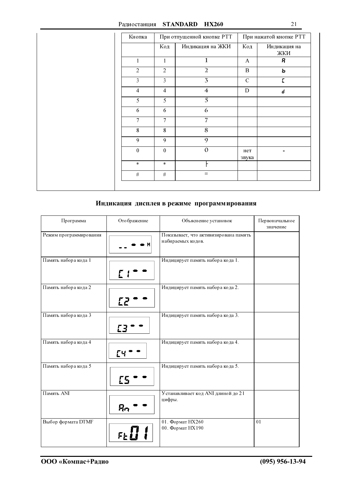| Кнопка           | При отпущенной кнопке РТТ |                  | При нажатой кнопке РТТ |                          |
|------------------|---------------------------|------------------|------------------------|--------------------------|
|                  | Код                       | Индикация на ЖКИ | Код                    | Индикация на<br>ЖКИ      |
| $\mathbf{1}$     | 1                         | $\mathbf{1}$     | $\mathbf{A}$           | я                        |
| $\overline{2}$   | $\overline{2}$            | $\overline{a}$   | $\, {\bf B}$           | ь                        |
| 3                | 3                         | $\overline{3}$   | $\mathcal{C}$          | E                        |
| $\overline{4}$   | $\overline{4}$            | $\overline{4}$   | $\mathbf D$            | d                        |
| 5                | 5                         | $\overline{5}$   |                        |                          |
| 6                | 6                         | 6                |                        |                          |
| $\overline{7}$   | $\overline{7}$            | $\overline{7}$   |                        |                          |
| 8                | 8                         | $\overline{8}$   |                        |                          |
| 9                | 9                         | 9                |                        |                          |
| $\boldsymbol{0}$ | $\boldsymbol{0}$          | $\mathbf{0}$     | нет<br>звука           | $\overline{\phantom{a}}$ |
| $\star$          | $\star$                   |                  |                        |                          |
| $\#$             | $\#$                      | $\equiv$         |                        |                          |

# Индикация дисплея в режиме программирования

| Программа              | Отображение         | Объяснение установок                                       | Первоначальное<br>значение |
|------------------------|---------------------|------------------------------------------------------------|----------------------------|
| Режим программирования |                     | Показывает, что активизирована память<br>набираемых кодов. |                            |
| Память набора кода 1   |                     | Индицирует память набора кода 1.                           |                            |
| Память набора кода 2   | E2.                 | Индицирует память набора кода 2.                           |                            |
| Память набора кода 3   |                     | Индицирует память набора кода 3.                           |                            |
| Память набора кода 4   |                     | Индицирует память набора кода 4.                           |                            |
| Память набора кода 5   | ΓS                  | Индицирует память набора кода 5.                           |                            |
| Память ANI             | Ŗη                  | Устанавливает код ANI длиной до 21<br>цифры.               |                            |
| Выбор формата DTMF     | $\mathbb{F}_\Sigma$ | 01. Формат НХ260<br>00. Формат НХ190                       | 01                         |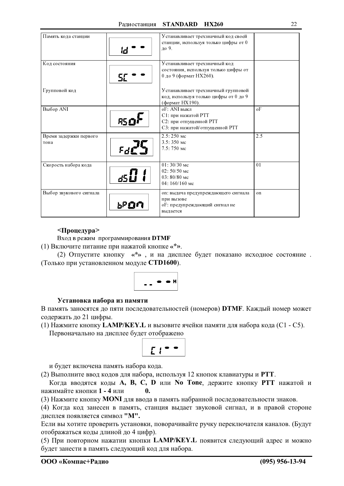| Память кода станции            |      | Устанавливает трехзначный код своей<br>станции, используя только цифры от 0<br>ло 9.            |                |
|--------------------------------|------|-------------------------------------------------------------------------------------------------|----------------|
| Код состояния                  |      | Устанавливает трехзначный код<br>состояния, используя только цифры от<br>0 до 9 (формат НХ260). |                |
| Групповой код                  |      | Устанавливает трехзначный групповой<br>код, используя только цифры от 0 до 9<br>(формат НХ190). |                |
| Выбор ANI                      | 85 O | oF: ANI выкл<br>С1: при нажатой РТТ<br>С2: при отпущенной РТТ<br>С3: при нажатой/отпущенной РТТ | oF             |
| Время задержки первого<br>тона |      | $2.5:250$ Mc<br>3.5:350 мс<br>7.5: 750 мс                                                       | 2.5            |
| Скорость набора кода           |      | $01:30/30$ Mc<br>$02:50/50$ Mc<br>$03:80/80$ Mc<br>04: 160/160 мс                               | 0 <sub>1</sub> |
| Выбор звукового сигнала        | 1.PC | on: выдача предупреждающего сигнала<br>при вызове<br>о Г: предупреждающий сигнал не<br>выдается | on             |

#### <Процедура>

Вход в режим программирования DTMF

(1) Включите питание при нажатой кнопке «\*».

(2) Отпустите кнопку «\*», и на дисплее будет показано исходное состояние. (Только при установленном модуле СТD1600).

$$
\begin{array}{c}\n\bullet \\
\bullet \\
\end{array}
$$

#### Установка набора из памяти

В память заносятся до пяти последовательностей (номеров) DTMF. Каждый номер может содержать до 21 цифры.

(1) Нажмите кнопку **LAMP/KEY.** L и вызовите ячейки памяти для набора кода (C1 - C5).

Первоначально на дисплее будет отображено

$$
\mathcal{L} t^{\bullet \bullet}
$$

и будет включена память набора кода.

(2) Выполните ввод кодов для набора, используя 12 кнопок клавиатуры и РТТ.

Когда вводятся коды A, B, C, D или No Tone, держите кнопку PTT нажатой и нажимайте кнопки 1 - 4 или  $\mathbf{0}$ 

(3) Нажмите кнопку MONI для ввода в память набранной последовательности знаков.

(4) Когда код занесен в память, станция выдает звуковой сигнал, и в правой стороне дисплея появляется символ "М".

Если вы хотите проверить установки, поворачивайте ручку переключателя каналов. (Будут отображаться коды длиной до 4 цифр).

(5) При повторном нажатии кнопки LAMP/KEY. L появится следующий адрес и можно будет занести в память следующий код для набора.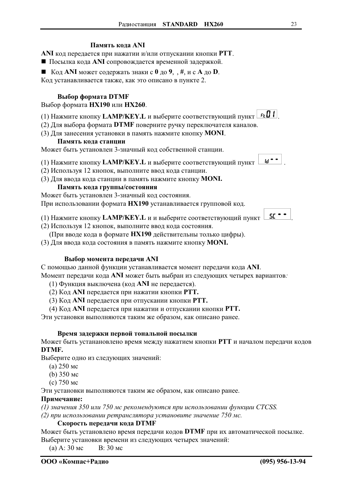#### Память кола ANI

ANI код передается при нажатии и/или отпускании кнопки PTT.

■ Посылка кода ANI сопровождается временной задержкой.

■ Код ANI может содержать знаки с 0 до 9,  $, \#$ , и с А до D.

Код устанавливается также, как это описано в пункте 2.

### Выбор формата DTMF

Выбор формата НХ190 или НХ260.

- (1) Нажмите кнопку LAMP/KEY.L и выберите соответствующий пункт FLO !
- (2) Для выбора формата DTMF поверните ручку переключателя каналов.
- (3) Для занесения установки в память нажмите кнопку MONI.

#### Память кода станции

Может быть установлен 3-значный код собственной станции.

- (1) Нажмите кнопку LAMP/KEY. L и выберите соответствующий пункт
- (2) Используя 12 кнопок, выполните ввод кода станции.
- (3) Для ввода кода станции в память нажмите кнопку **MONI**.

#### Память кода группы/состояния

Может быть установлен 3-значный код состояния.

При использовании формата НХ190 устанавливается групповой код.

(1) Нажмите кнопку **LAMP/KEY.** L и и выберите соответствующий пункт

- (2) Используя 12 кнопок, выполните ввод кода состояния.
	- (При вводе кода в формате HX190 действительны только цифры).

(3) Для ввода кода состояния в память нажмите кнопку MONI.

#### Выбор момента передачи ANI

С помощью данной функции устанавливается момент передачи кода ANI.

Момент передачи кода ANI может быть выбран из следующих четырех вариантов:

(1) Функция выключена (код ANI не передается).

- (2) Код ANI передается при нажатии кнопки PTT.
- (3) Код ANI передается при отпускании кнопки PTT.
- (4) Код ANI передается при нажатии и отпускании кнопки PTT.

Эти установки выполняются таким же образом, как описано ранее.

#### Время задержки первой тональной посылки

Может быть устанановлено время между нажатием кнопки PTT и началом передачи кодов DTMF.

Выберите одно из следующих значений:

- $(a)$  250 MC
- (b)  $350$  Mc
- $(c) 750$  Mc

Эти установки выполняются таким же образом, как описано ранее.

#### Примечание:

(1) значения 350 или 750 мс рекомендуются при использовании функции CTCSS.

(2) при использовании ретранслятора установите значение 750 мс.

#### Скорость передачи кода DTMF

Может быть установлено время передачи кодов DTMF при их автоматической посылке. Выберите установки времени из следующих четырех значений:

В: 30 мс  $(a)$  A: 30 Mc



 $id$  =  $\bullet$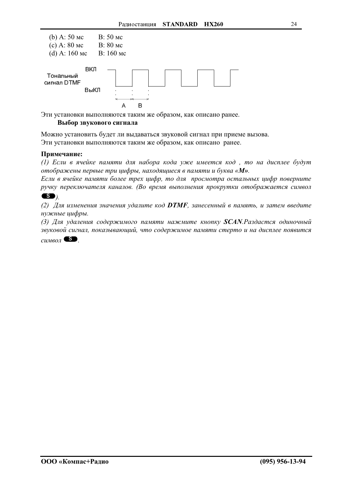

Эти установки выполняются таким же образом, как описано ранее.

### Выбор звукового сигнала

Можно установить будет ли выдаваться звуковой сигнал при приеме вызова. Эти установки выполняются таким же образом, как описано ранее.

#### Примечание:

(1) Если в ячейке памяти для набора кода уже имеется код, то на дисплее будут отображены первые три цифры, находящиеся в памяти и буква «М».

Если в ячейке памяти более трех цифр, то для просмотра остальных цифр поверните ручку переключателя каналов. (Во время выполнения прокрутки отображается символ  $\bullet$ 

(2) Для изменения значения удалите код **DTMF**, занесенный в память, и затем введите нужные цифры.

(3) Для удаления содержимого памяти нажмите кнопку **SCAN**. Раздастся одиночный звуковой сигнал, показывающий, что содержимое памяти стерто и на дисплее появится

 $\textit{cumson}$   $\bullet$ .